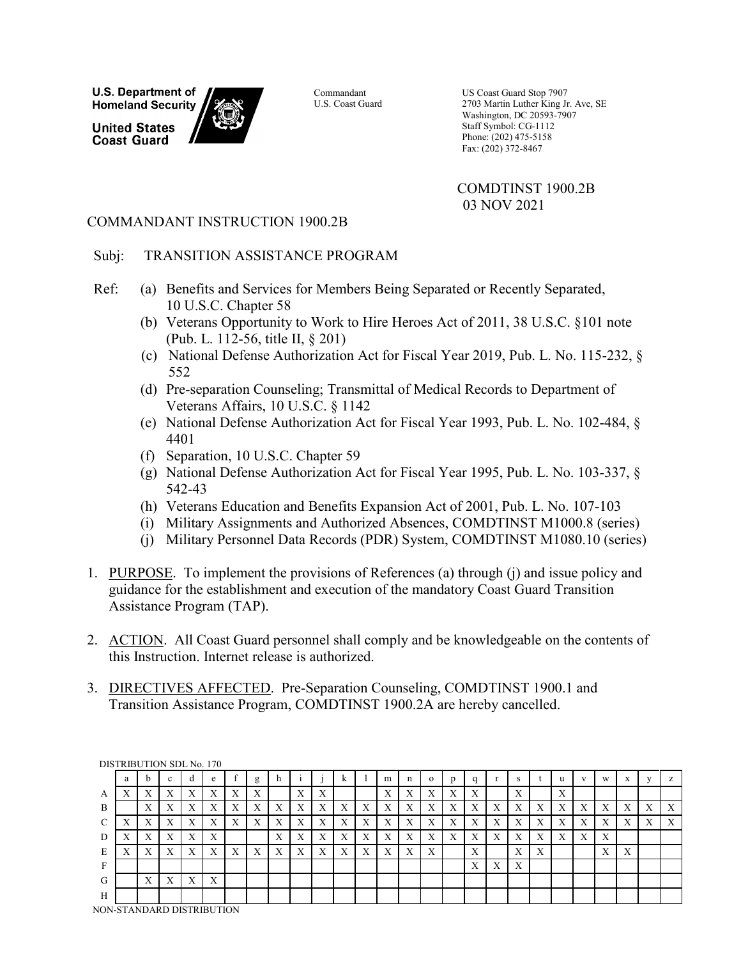**U.S. Department of Homeland Security** 

**United States Coast Guard** 



Commandant U.S. Coast Guard US Coast Guard Stop 7907 2703 Martin Luther King Jr. Ave, SE Washington, DC 20593-7907 Staff Symbol: CG-1112 Phone: (202) 475-5158 Fax: (202) 372-8467

COMDTINST 1900.2B 03 NOV 2021

## COMMANDANT INSTRUCTION 1900.2B

## Subj: TRANSITION ASSISTANCE PROGRAM

- Ref: (a) Benefits and Services for Members Being Separated or Recently Separated, 10 U.S.C. Chapter 58
	- (b) Veterans Opportunity to Work to Hire Heroes Act of 2011, 38 U.S.C. §101 note (Pub. L. 112-56, title II, § 201)
	- (c) National Defense Authorization Act for Fiscal Year 2019, Pub. L. No. 115-232, § 552
	- (d) Pre-separation Counseling; Transmittal of Medical Records to Department of Veterans Affairs, 10 U.S.C. § 1142
	- (e) National Defense Authorization Act for Fiscal Year 1993, Pub. L. No. 102-484, § 4401
	- (f) Separation, 10 U.S.C. Chapter 59
	- (g) National Defense Authorization Act for Fiscal Year 1995, Pub. L. No. 103-337, § 542-43
	- (h) Veterans Education and Benefits Expansion Act of 2001, Pub. L. No. 107-103
	- (i) Military Assignments and Authorized Absences, COMDTINST M1000.8 (series)
	- (j) Military Personnel Data Records (PDR) System, COMDTINST M1080.10 (series)
- 1. PURPOSE. To implement the provisions of References (a) through (j) and issue policy and guidance for the establishment and execution of the mandatory Coast Guard Transition Assistance Program (TAP).
- 2. ACTION. All Coast Guard personnel shall comply and be knowledgeable on the contents of this Instruction. Internet release is authorized.
- 3. DIRECTIVES AFFECTED. Pre-Separation Counseling, COMDTINST 1900.1 and Transition Assistance Program, COMDTINST 1900.2A are hereby cancelled.

|                 |                            |                   |                   | <b>DISTRIBUTION SDL No. 170</b> |           |                   |   |                   |                   |                           |                   |   |                           |           |                           |        |   |                           |                           |                           |                   |                           |                   |                   |                  |                           |
|-----------------|----------------------------|-------------------|-------------------|---------------------------------|-----------|-------------------|---|-------------------|-------------------|---------------------------|-------------------|---|---------------------------|-----------|---------------------------|--------|---|---------------------------|---------------------------|---------------------------|-------------------|---------------------------|-------------------|-------------------|------------------|---------------------------|
|                 | a                          | b                 | $\sim$<br>c       | đ                               | e         |                   | g | h                 |                   |                           | k                 |   | m                         | n         | $\mathbf{o}$              | p      | q |                           | S                         |                           | u                 | $\mathbf{V}$              | W                 | X                 | v                | z                         |
| A               | Λ                          | v<br>л            | л                 | v<br>л                          | л         | Λ                 | Х |                   | v<br>л            | л                         |                   |   | ٦Z<br>л                   | л         | л                         | л      | Х |                           | $\mathbf{v}$<br>л         |                           | $\mathbf{v}$<br>л |                           |                   |                   |                  |                           |
| B               |                            | $\mathbf{v}$<br>л | $\mathbf v$<br>A  | $\mathbf{v}$<br>$\Lambda$       |           | $\mathbf{v}$<br>л | Х | X                 | $\mathbf{v}$<br>A | $\mathbf{v}$<br>$\Lambda$ | $\mathbf{v}$<br>л | X | $\mathbf{v}$<br>л         | A         | $\mathbf{v}$<br>л         | Х      | X | v<br>A                    | $\mathbf{x}$<br>$\Lambda$ | $\mathbf v$<br>л          | X                 | $\mathbf{v}$<br>л         | $\mathbf{v}$      | $\mathbf{v}$<br>л | X                | X                         |
| $\sqrt{2}$<br>◡ | $\mathbf{v}$<br>л          | $\mathbf{v}$<br>л | $\mathbf{v}$<br>A | $\mathbf{v}$<br>$\Lambda$       | $\Lambda$ | $\mathbf{v}$<br>л | X | $\mathbf{v}$<br>A | v<br>$\Lambda$    | $\mathbf{v}$<br>$\Lambda$ | $\mathbf{v}$<br>л | X | $\mathbf{v}$<br>$\Lambda$ | $\Lambda$ | $\mathbf{v}$<br>$\Lambda$ | v<br>Λ | X | $\mathbf{v}$<br>$\Lambda$ | $\mathbf{v}$<br>$\Lambda$ | $\mathbf{v}$<br>л         | $\mathbf v$<br>A  | $\mathbf{v}$<br>$\Lambda$ | $\Lambda$         | $\mathbf{v}$<br>л | $\mathbf v$<br>A | $\mathbf{v}$<br>$\Lambda$ |
| D               | $\mathbf{v}$<br>л          | $\mathbf{v}$<br>л | $\mathbf v$<br>A  | $\mathbf{v}$<br>$\Lambda$       |           |                   |   | X                 | X                 | $\mathbf{v}$<br>Λ         | $\mathbf{v}$<br>л | X | $\mathbf{v}$<br>A         | A         | $\mathbf{v}$<br>л         | Х      | X | X                         | $\Lambda$                 | $\mathbf{v}$<br>л         | X                 | $\mathbf{v}$<br>$\Lambda$ |                   |                   |                  |                           |
| E               | $\mathbf{v}$<br>л          | $\mathbf{v}$<br>л | $\mathbf{v}$<br>A | $\mathbf{v}$<br>$\Lambda$       | Х         | $\mathbf{v}$<br>л | X | X                 | X                 | X                         | $\mathbf{v}$<br>л | X | $\mathbf{v}$<br>$\Lambda$ | X         | $\mathbf{v}$<br>л         |        | X |                           | $\mathbf{v}$<br>$\Lambda$ | $\mathbf{v}$<br>$\Lambda$ |                   |                           | $\mathbf{v}$<br>A | $\mathbf{v}$<br>л |                  |                           |
| F               |                            |                   |                   |                                 |           |                   |   |                   |                   |                           |                   |   |                           |           |                           |        | X | v<br>$\Lambda$            | $\Lambda$                 |                           |                   |                           |                   |                   |                  |                           |
| G               |                            | $\mathbf v$<br>л  | Х                 | v<br>A                          | Х         |                   |   |                   |                   |                           |                   |   |                           |           |                           |        |   |                           |                           |                           |                   |                           |                   |                   |                  |                           |
| H               |                            |                   |                   |                                 |           |                   |   |                   |                   |                           |                   |   |                           |           |                           |        |   |                           |                           |                           |                   |                           |                   |                   |                  |                           |
|                 | JOM CTAMINARD DICTRIDITION |                   |                   |                                 |           |                   |   |                   |                   |                           |                   |   |                           |           |                           |        |   |                           |                           |                           |                   |                           |                   |                   |                  |                           |

NON-STANDARD DISTRIBUTION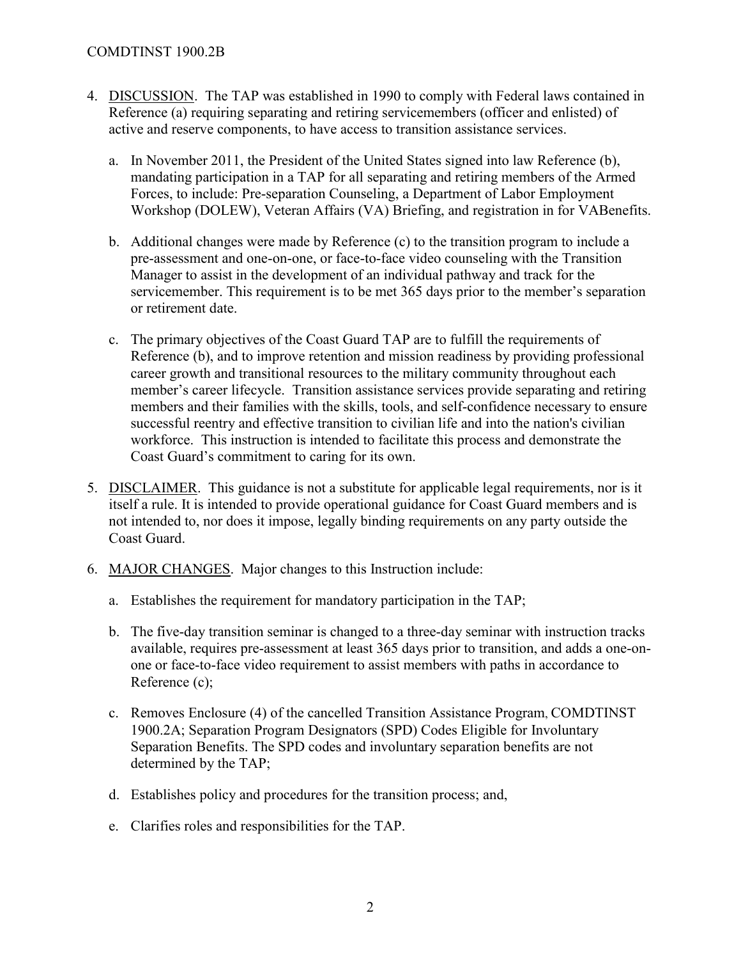#### COMDTINST 1900.2B

- 4. DISCUSSION. The TAP was established in 1990 to comply with Federal laws contained in Reference (a) requiring separating and retiring servicemembers (officer and enlisted) of active and reserve components, to have access to transition assistance services.
	- a. In November 2011, the President of the United States signed into law Reference (b), mandating participation in a TAP for all separating and retiring members of the Armed Forces, to include: Pre-separation Counseling, a Department of Labor Employment Workshop (DOLEW), Veteran Affairs (VA) Briefing, and registration in for VABenefits.
	- b. Additional changes were made by Reference (c) to the transition program to include a pre-assessment and one-on-one, or face-to-face video counseling with the Transition Manager to assist in the development of an individual pathway and track for the servicemember. This requirement is to be met 365 days prior to the member's separation or retirement date.
	- c. The primary objectives of the Coast Guard TAP are to fulfill the requirements of Reference (b), and to improve retention and mission readiness by providing professional career growth and transitional resources to the military community throughout each member's career lifecycle. Transition assistance services provide separating and retiring members and their families with the skills, tools, and self-confidence necessary to ensure successful reentry and effective transition to civilian life and into the nation's civilian workforce. This instruction is intended to facilitate this process and demonstrate the Coast Guard's commitment to caring for its own.
- 5. DISCLAIMER. This guidance is not a substitute for applicable legal requirements, nor is it itself a rule. It is intended to provide operational guidance for Coast Guard members and is not intended to, nor does it impose, legally binding requirements on any party outside the Coast Guard.
- 6. MAJOR CHANGES. Major changes to this Instruction include:
	- a. Establishes the requirement for mandatory participation in the TAP;
	- b. The five-day transition seminar is changed to a three-day seminar with instruction tracks available, requires pre-assessment at least 365 days prior to transition, and adds a one-onone or face-to-face video requirement to assist members with paths in accordance to Reference (c);
	- c. Removes Enclosure (4) of the cancelled Transition Assistance Program, COMDTINST 1900.2A; Separation Program Designators (SPD) Codes Eligible for Involuntary Separation Benefits. The SPD codes and involuntary separation benefits are not determined by the TAP;
	- d. Establishes policy and procedures for the transition process; and,
	- e. Clarifies roles and responsibilities for the TAP.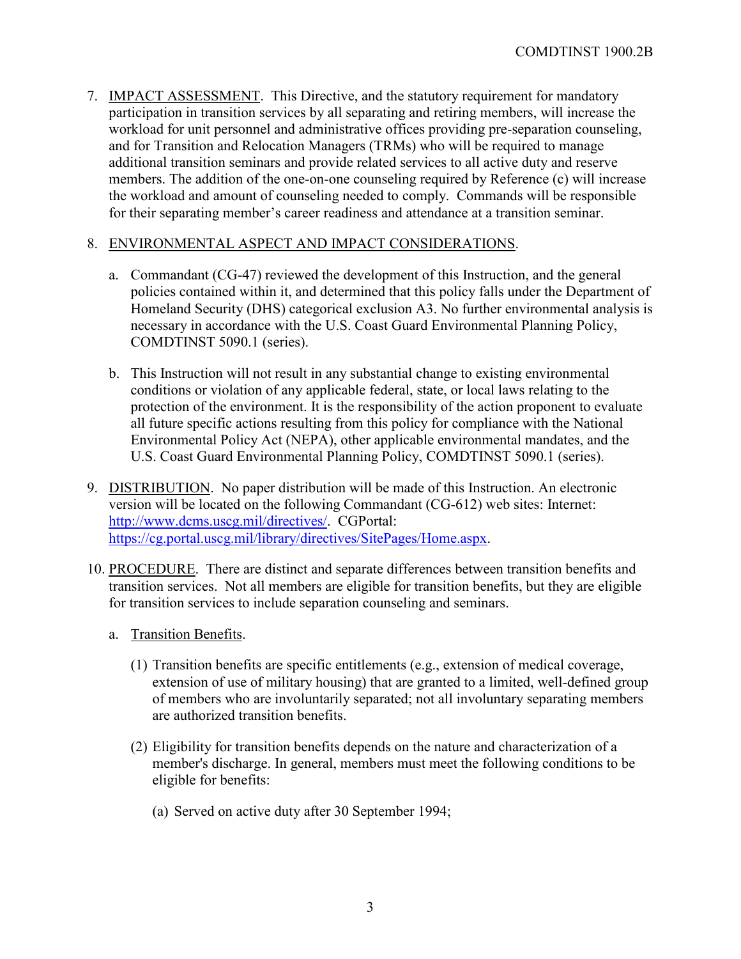7. IMPACT ASSESSMENT. This Directive, and the statutory requirement for mandatory participation in transition services by all separating and retiring members, will increase the workload for unit personnel and administrative offices providing pre-separation counseling, and for Transition and Relocation Managers (TRMs) who will be required to manage additional transition seminars and provide related services to all active duty and reserve members. The addition of the one-on-one counseling required by Reference (c) will increase the workload and amount of counseling needed to comply. Commands will be responsible for their separating member's career readiness and attendance at a transition seminar.

#### 8. ENVIRONMENTAL ASPECT AND IMPACT CONSIDERATIONS.

- a. Commandant (CG-47) reviewed the development of this Instruction, and the general policies contained within it, and determined that this policy falls under the Department of Homeland Security (DHS) categorical exclusion A3. No further environmental analysis is necessary in accordance with the U.S. Coast Guard Environmental Planning Policy, COMDTINST 5090.1 (series).
- b. This Instruction will not result in any substantial change to existing environmental conditions or violation of any applicable federal, state, or local laws relating to the protection of the environment. It is the responsibility of the action proponent to evaluate all future specific actions resulting from this policy for compliance with the National Environmental Policy Act (NEPA), other applicable environmental mandates, and the U.S. Coast Guard Environmental Planning Policy, COMDTINST 5090.1 (series).
- 9. DISTRIBUTION. No paper distribution will be made of this Instruction. An electronic version will be located on the following Commandant (CG-612) web sites: Internet: [http://www.dcms.uscg.mil/directives/.](http://www.dcms.uscg.mil/directives/) CGPortal: [https://cg.portal.uscg.mil/library/directives/SitePages/Home.aspx.](https://cg.portal.uscg.mil/library/directives/SitePages/Home.aspx)
- 10. PROCEDURE. There are distinct and separate differences between transition benefits and transition services. Not all members are eligible for transition benefits, but they are eligible for transition services to include separation counseling and seminars.
	- a. Transition Benefits.
		- (1) Transition benefits are specific entitlements (e.g., extension of medical coverage, extension of use of military housing) that are granted to a limited, well-defined group of members who are involuntarily separated; not all involuntary separating members are authorized transition benefits.
		- (2) Eligibility for transition benefits depends on the nature and characterization of a member's discharge. In general, members must meet the following conditions to be eligible for benefits:
			- (a) Served on active duty after 30 September 1994;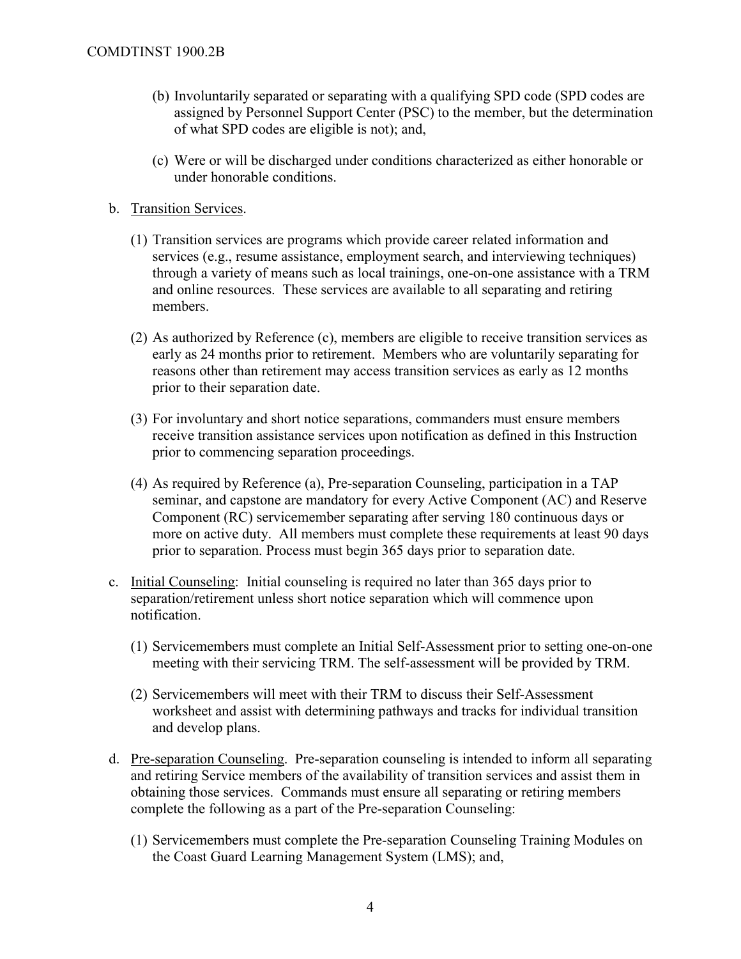- (b) Involuntarily separated or separating with a qualifying SPD code (SPD codes are assigned by Personnel Support Center (PSC) to the member, but the determination of what SPD codes are eligible is not); and,
- (c) Were or will be discharged under conditions characterized as either honorable or under honorable conditions.
- b. Transition Services.
	- (1) Transition services are programs which provide career related information and services (e.g., resume assistance, employment search, and interviewing techniques) through a variety of means such as local trainings, one-on-one assistance with a TRM and online resources. These services are available to all separating and retiring members.
	- (2) As authorized by Reference (c), members are eligible to receive transition services as early as 24 months prior to retirement. Members who are voluntarily separating for reasons other than retirement may access transition services as early as 12 months prior to their separation date.
	- (3) For involuntary and short notice separations, commanders must ensure members receive transition assistance services upon notification as defined in this Instruction prior to commencing separation proceedings.
	- (4) As required by Reference (a), Pre-separation Counseling, participation in a TAP seminar, and capstone are mandatory for every Active Component (AC) and Reserve Component (RC) servicemember separating after serving 180 continuous days or more on active duty. All members must complete these requirements at least 90 days prior to separation. Process must begin 365 days prior to separation date.
- c. Initial Counseling: Initial counseling is required no later than 365 days prior to separation/retirement unless short notice separation which will commence upon notification.
	- (1) Servicemembers must complete an Initial Self-Assessment prior to setting one-on-one meeting with their servicing TRM. The self-assessment will be provided by TRM.
	- (2) Servicemembers will meet with their TRM to discuss their Self-Assessment worksheet and assist with determining pathways and tracks for individual transition and develop plans.
- d. Pre-separation Counseling. Pre-separation counseling is intended to inform all separating and retiring Service members of the availability of transition services and assist them in obtaining those services. Commands must ensure all separating or retiring members complete the following as a part of the Pre-separation Counseling:
	- (1) Servicemembers must complete the Pre-separation Counseling Training Modules on the Coast Guard Learning Management System (LMS); and,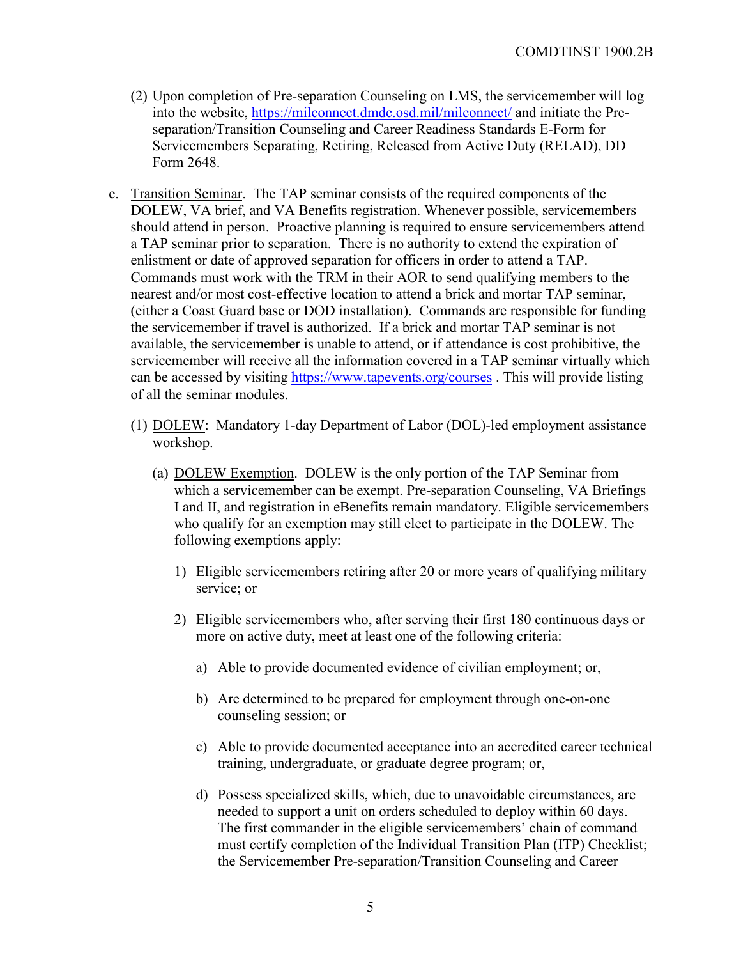- (2) Upon completion of Pre-separation Counseling on LMS, the servicemember will log into the website,<https://milconnect.dmdc.osd.mil/milconnect/> and initiate the Preseparation/Transition Counseling and Career Readiness Standards E-Form for Servicemembers Separating, Retiring, Released from Active Duty (RELAD), DD Form 2648.
- e. Transition Seminar. The TAP seminar consists of the required components of the DOLEW, VA brief, and VA Benefits registration. Whenever possible, servicemembers should attend in person. Proactive planning is required to ensure servicemembers attend a TAP seminar prior to separation. There is no authority to extend the expiration of enlistment or date of approved separation for officers in order to attend a TAP. Commands must work with the TRM in their AOR to send qualifying members to the nearest and/or most cost-effective location to attend a brick and mortar TAP seminar, (either a Coast Guard base or DOD installation). Commands are responsible for funding the servicemember if travel is authorized. If a brick and mortar TAP seminar is not available, the servicemember is unable to attend, or if attendance is cost prohibitive, the servicemember will receive all the information covered in a TAP seminar virtually which can be accessed by visiting <https://www.tapevents.org/courses>. This will provide listing of all the seminar modules.
	- (1) DOLEW: Mandatory 1-day Department of Labor (DOL)-led employment assistance workshop.
		- (a) DOLEW Exemption. DOLEW is the only portion of the TAP Seminar from which a servicemember can be exempt. Pre-separation Counseling, VA Briefings I and II, and registration in eBenefits remain mandatory. Eligible servicemembers who qualify for an exemption may still elect to participate in the DOLEW. The following exemptions apply:
			- 1) Eligible servicemembers retiring after 20 or more years of qualifying military service; or
			- 2) Eligible servicemembers who, after serving their first 180 continuous days or more on active duty, meet at least one of the following criteria:
				- a) Able to provide documented evidence of civilian employment; or,
				- b) Are determined to be prepared for employment through one-on-one counseling session; or
				- c) Able to provide documented acceptance into an accredited career technical training, undergraduate, or graduate degree program; or,
				- d) Possess specialized skills, which, due to unavoidable circumstances, are needed to support a unit on orders scheduled to deploy within 60 days. The first commander in the eligible servicemembers' chain of command must certify completion of the Individual Transition Plan (ITP) Checklist; the Servicemember Pre-separation/Transition Counseling and Career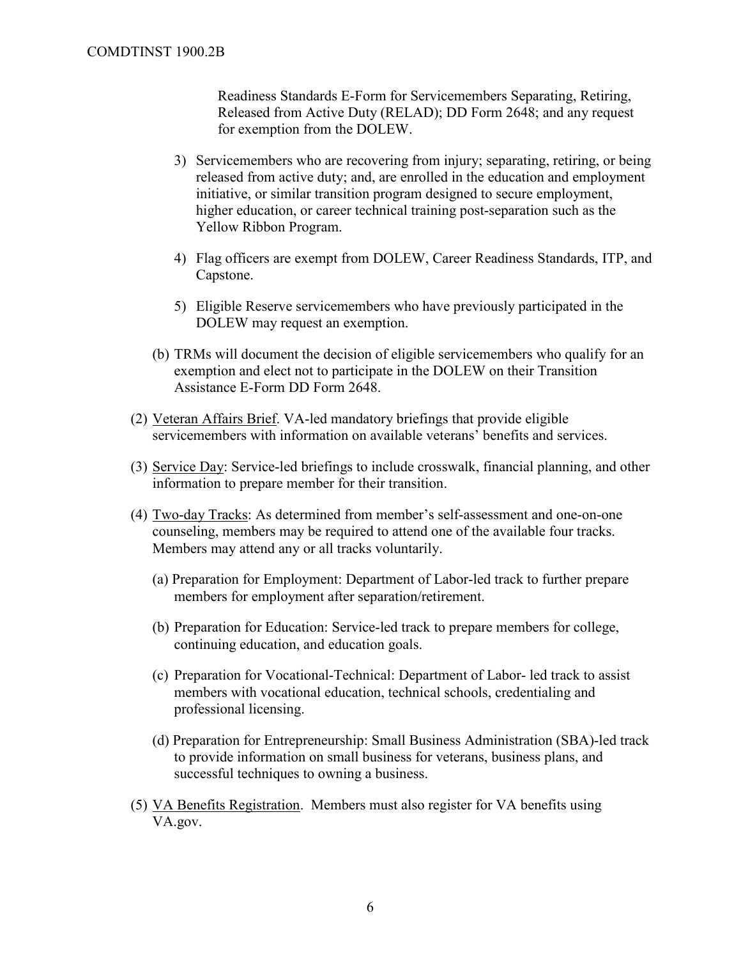Readiness Standards E-Form for Servicemembers Separating, Retiring, Released from Active Duty (RELAD); DD Form 2648; and any request for exemption from the DOLEW.

- 3) Servicemembers who are recovering from injury; separating, retiring, or being released from active duty; and, are enrolled in the education and employment initiative, or similar transition program designed to secure employment, higher education, or career technical training post-separation such as the Yellow Ribbon Program.
- 4) Flag officers are exempt from DOLEW, Career Readiness Standards, ITP, and Capstone.
- 5) Eligible Reserve servicemembers who have previously participated in the DOLEW may request an exemption.
- (b) TRMs will document the decision of eligible servicemembers who qualify for an exemption and elect not to participate in the DOLEW on their Transition Assistance E-Form DD Form 2648.
- (2) Veteran Affairs Brief. VA-led mandatory briefings that provide eligible servicemembers with information on available veterans' benefits and services.
- (3) Service Day: Service-led briefings to include crosswalk, financial planning, and other information to prepare member for their transition.
- (4) Two-day Tracks: As determined from member's self-assessment and one-on-one counseling, members may be required to attend one of the available four tracks. Members may attend any or all tracks voluntarily.
	- (a) Preparation for Employment: Department of Labor-led track to further prepare members for employment after separation/retirement.
	- (b) Preparation for Education: Service-led track to prepare members for college, continuing education, and education goals.
	- (c) Preparation for Vocational-Technical: Department of Labor- led track to assist members with vocational education, technical schools, credentialing and professional licensing.
	- (d) Preparation for Entrepreneurship: Small Business Administration (SBA)-led track to provide information on small business for veterans, business plans, and successful techniques to owning a business.
- (5) VA Benefits Registration. Members must also register for VA benefits using VA.gov.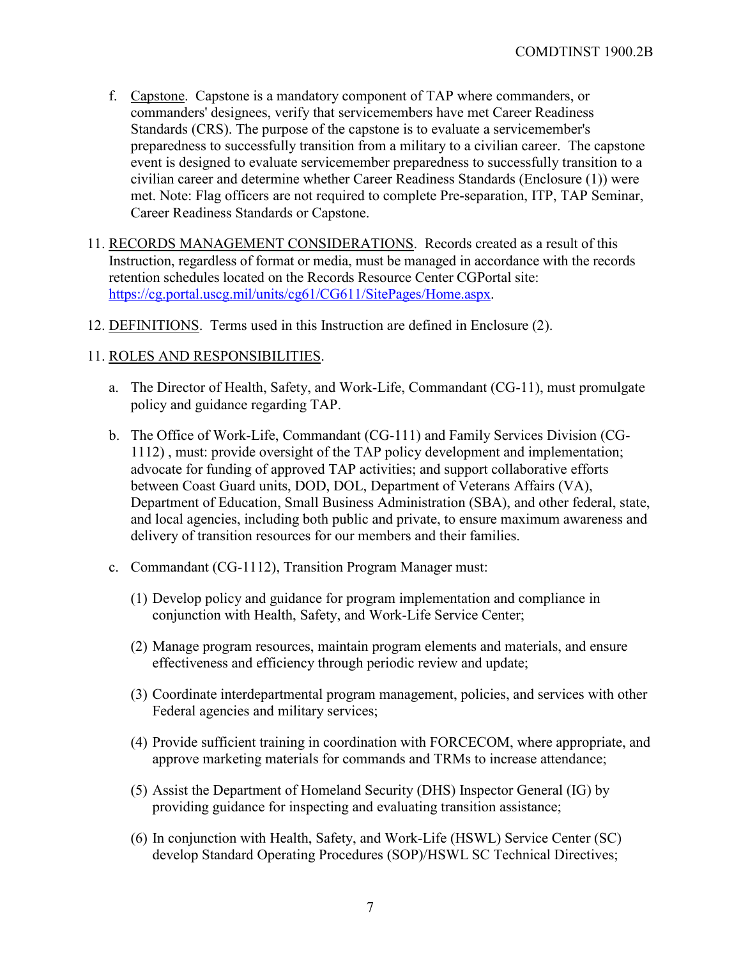- f. Capstone. Capstone is a mandatory component of TAP where commanders, or commanders' designees, verify that servicemembers have met [Career Readiness](https://www.dodtap.mil/career_readiness_standards.html)  [Standards \(CRS\).](https://www.dodtap.mil/career_readiness_standards.html) The purpose of the capstone is to evaluate a servicemember's preparedness to successfully transition from a military to a civilian career. The capstone event is designed to evaluate servicemember preparedness to successfully transition to a civilian career and determine whether Career Readiness Standards (Enclosure (1)) were met. Note: Flag officers are not required to complete Pre-separation, ITP, TAP Seminar, Career Readiness Standards or Capstone.
- 11. RECORDS MANAGEMENT CONSIDERATIONS. Records created as a result of this Instruction, regardless of format or media, must be managed in accordance with the records retention schedules located on the Records Resource Center CGPortal site: [https://cg.portal.uscg.mil/units/cg61/CG611/SitePages/Home.aspx.](https://cg.portal.uscg.mil/units/cg61/CG611/SitePages/Home.aspx)
- 12. DEFINITIONS. Terms used in this Instruction are defined in Enclosure (2).

#### 11. ROLES AND RESPONSIBILITIES.

- a. The Director of Health, Safety, and Work-Life, Commandant (CG-11), must promulgate policy and guidance regarding TAP.
- b. The Office of Work-Life, Commandant (CG-111) and Family Services Division (CG-1112) , must: provide oversight of the TAP policy development and implementation; advocate for funding of approved TAP activities; and support collaborative efforts between Coast Guard units, DOD, DOL, Department of Veterans Affairs (VA), Department of Education, Small Business Administration (SBA), and other federal, state, and local agencies, including both public and private, to ensure maximum awareness and delivery of transition resources for our members and their families.
- c. Commandant (CG-1112), Transition Program Manager must:
	- (1) Develop policy and guidance for program implementation and compliance in conjunction with Health, Safety, and Work-Life Service Center;
	- (2) Manage program resources, maintain program elements and materials, and ensure effectiveness and efficiency through periodic review and update;
	- (3) Coordinate interdepartmental program management, policies, and services with other Federal agencies and military services;
	- (4) Provide sufficient training in coordination with FORCECOM, where appropriate, and approve marketing materials for commands and TRMs to increase attendance;
	- (5) Assist the Department of Homeland Security (DHS) Inspector General (IG) by providing guidance for inspecting and evaluating transition assistance;
	- (6) In conjunction with Health, Safety, and Work-Life (HSWL) Service Center (SC) develop Standard Operating Procedures (SOP)/HSWL SC Technical Directives;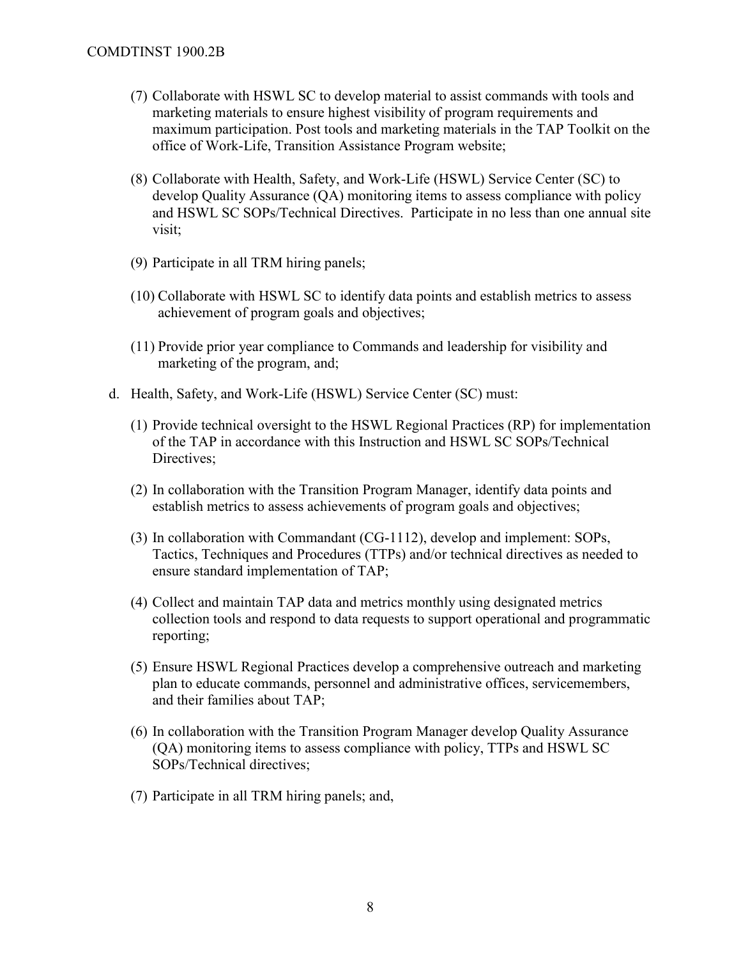- (7) Collaborate with HSWL SC to develop material to assist commands with tools and marketing materials to ensure highest visibility of program requirements and maximum participation. Post tools and marketing materials in the TAP Toolkit on the office of Work-Life, Transition Assistance Program website;
- (8) Collaborate with Health, Safety, and Work-Life (HSWL) Service Center (SC) to develop Quality Assurance (QA) monitoring items to assess compliance with policy and HSWL SC SOPs/Technical Directives. Participate in no less than one annual site visit;
- (9) Participate in all TRM hiring panels;
- (10) Collaborate with HSWL SC to identify data points and establish metrics to assess achievement of program goals and objectives;
- (11) Provide prior year compliance to Commands and leadership for visibility and marketing of the program, and;
- d. Health, Safety, and Work-Life (HSWL) Service Center (SC) must:
	- (1) Provide technical oversight to the HSWL Regional Practices (RP) for implementation of the TAP in accordance with this Instruction and HSWL SC SOPs/Technical Directives;
	- (2) In collaboration with the Transition Program Manager, identify data points and establish metrics to assess achievements of program goals and objectives;
	- (3) In collaboration with Commandant (CG-1112), develop and implement: SOPs, Tactics, Techniques and Procedures (TTPs) and/or technical directives as needed to ensure standard implementation of TAP;
	- (4) Collect and maintain TAP data and metrics monthly using designated metrics collection tools and respond to data requests to support operational and programmatic reporting;
	- (5) Ensure HSWL Regional Practices develop a comprehensive outreach and marketing plan to educate commands, personnel and administrative offices, servicemembers, and their families about TAP;
	- (6) In collaboration with the Transition Program Manager develop Quality Assurance (QA) monitoring items to assess compliance with policy, TTPs and HSWL SC SOPs/Technical directives;
	- (7) Participate in all TRM hiring panels; and,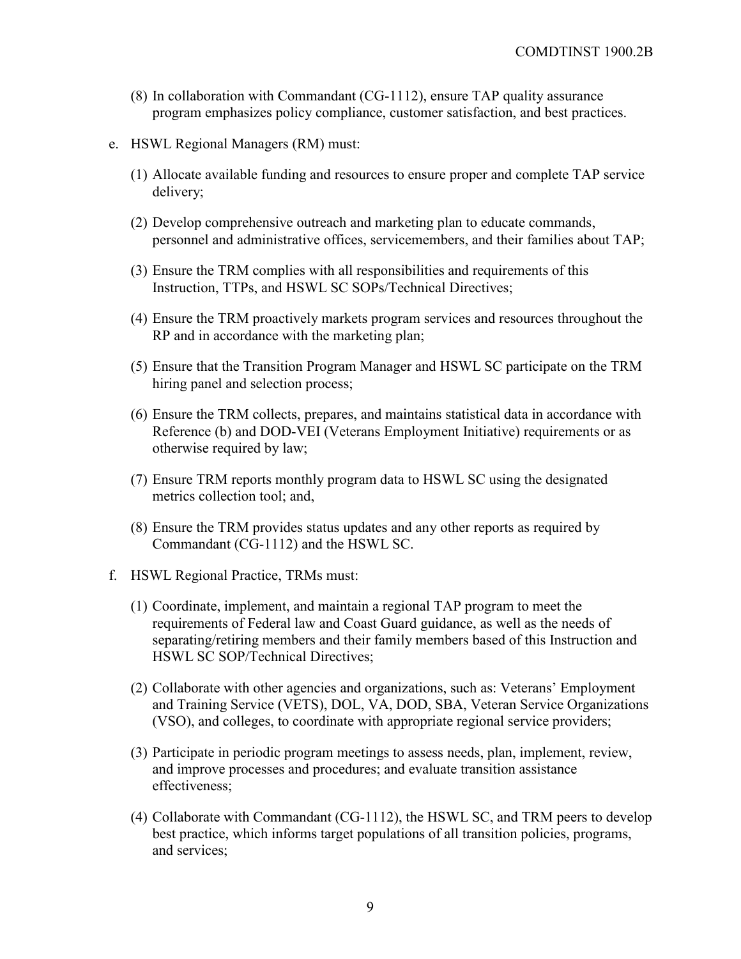- (8) In collaboration with Commandant (CG-1112), ensure TAP quality assurance program emphasizes policy compliance, customer satisfaction, and best practices.
- e. HSWL Regional Managers (RM) must:
	- (1) Allocate available funding and resources to ensure proper and complete TAP service delivery;
	- (2) Develop comprehensive outreach and marketing plan to educate commands, personnel and administrative offices, servicemembers, and their families about TAP;
	- (3) Ensure the TRM complies with all responsibilities and requirements of this Instruction, TTPs, and HSWL SC SOPs/Technical Directives;
	- (4) Ensure the TRM proactively markets program services and resources throughout the RP and in accordance with the marketing plan;
	- (5) Ensure that the Transition Program Manager and HSWL SC participate on the TRM hiring panel and selection process;
	- (6) Ensure the TRM collects, prepares, and maintains statistical data in accordance with Reference (b) and DOD-VEI (Veterans Employment Initiative) requirements or as otherwise required by law;
	- (7) Ensure TRM reports monthly program data to HSWL SC using the designated metrics collection tool; and,
	- (8) Ensure the TRM provides status updates and any other reports as required by Commandant (CG-1112) and the HSWL SC.
- f. HSWL Regional Practice, TRMs must:
	- (1) Coordinate, implement, and maintain a regional TAP program to meet the requirements of Federal law and Coast Guard guidance, as well as the needs of separating/retiring members and their family members based of this Instruction and HSWL SC SOP/Technical Directives;
	- (2) Collaborate with other agencies and organizations, such as: Veterans' Employment and Training Service (VETS), DOL, VA, DOD, SBA, Veteran Service Organizations (VSO), and colleges, to coordinate with appropriate regional service providers;
	- (3) Participate in periodic program meetings to assess needs, plan, implement, review, and improve processes and procedures; and evaluate transition assistance effectiveness;
	- (4) Collaborate with Commandant (CG-1112), the HSWL SC, and TRM peers to develop best practice, which informs target populations of all transition policies, programs, and services;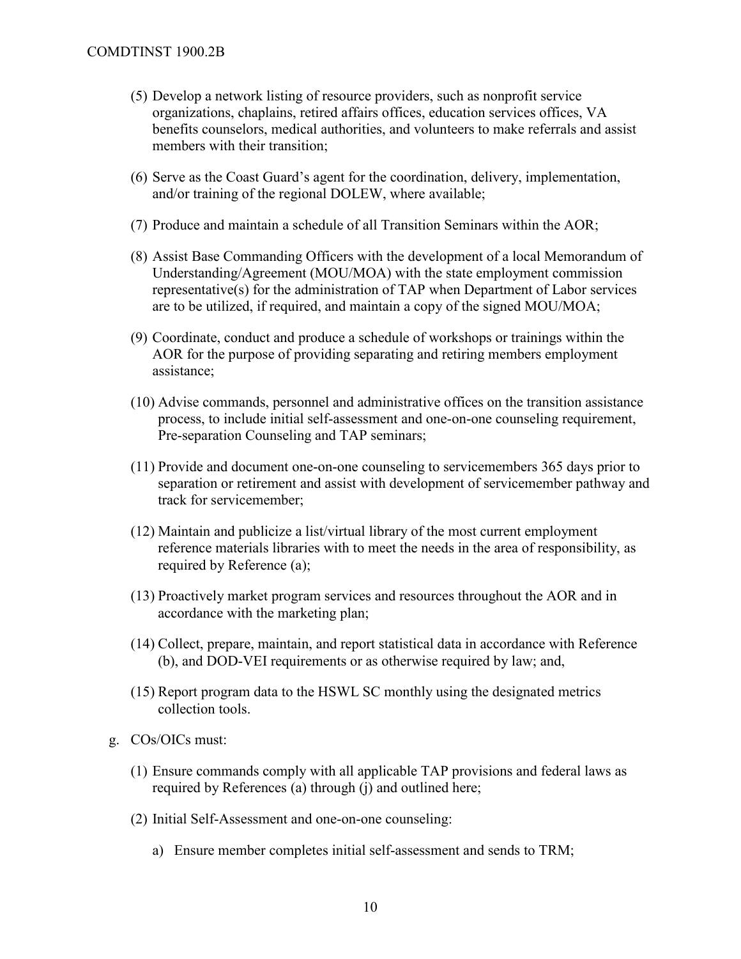- (5) Develop a network listing of resource providers, such as nonprofit service organizations, chaplains, retired affairs offices, education services offices, VA benefits counselors, medical authorities, and volunteers to make referrals and assist members with their transition;
- (6) Serve as the Coast Guard's agent for the coordination, delivery, implementation, and/or training of the regional DOLEW, where available;
- (7) Produce and maintain a schedule of all Transition Seminars within the AOR;
- (8) Assist Base Commanding Officers with the development of a local Memorandum of Understanding/Agreement (MOU/MOA) with the state employment commission representative(s) for the administration of TAP when Department of Labor services are to be utilized, if required, and maintain a copy of the signed MOU/MOA;
- (9) Coordinate, conduct and produce a schedule of workshops or trainings within the AOR for the purpose of providing separating and retiring members employment assistance;
- (10) Advise commands, personnel and administrative offices on the transition assistance process, to include initial self-assessment and one-on-one counseling requirement, Pre-separation Counseling and TAP seminars;
- (11) Provide and document one-on-one counseling to servicemembers 365 days prior to separation or retirement and assist with development of servicemember pathway and track for servicemember;
- (12) Maintain and publicize a list/virtual library of the most current employment reference materials libraries with to meet the needs in the area of responsibility, as required by Reference (a);
- (13) Proactively market program services and resources throughout the AOR and in accordance with the marketing plan;
- (14) Collect, prepare, maintain, and report statistical data in accordance with Reference (b), and DOD-VEI requirements or as otherwise required by law; and,
- (15) Report program data to the HSWL SC monthly using the designated metrics collection tools.
- g. COs/OICs must:
	- (1) Ensure commands comply with all applicable TAP provisions and federal laws as required by References (a) through (j) and outlined here;
	- (2) Initial Self-Assessment and one-on-one counseling:
		- a) Ensure member completes initial self-assessment and sends to TRM;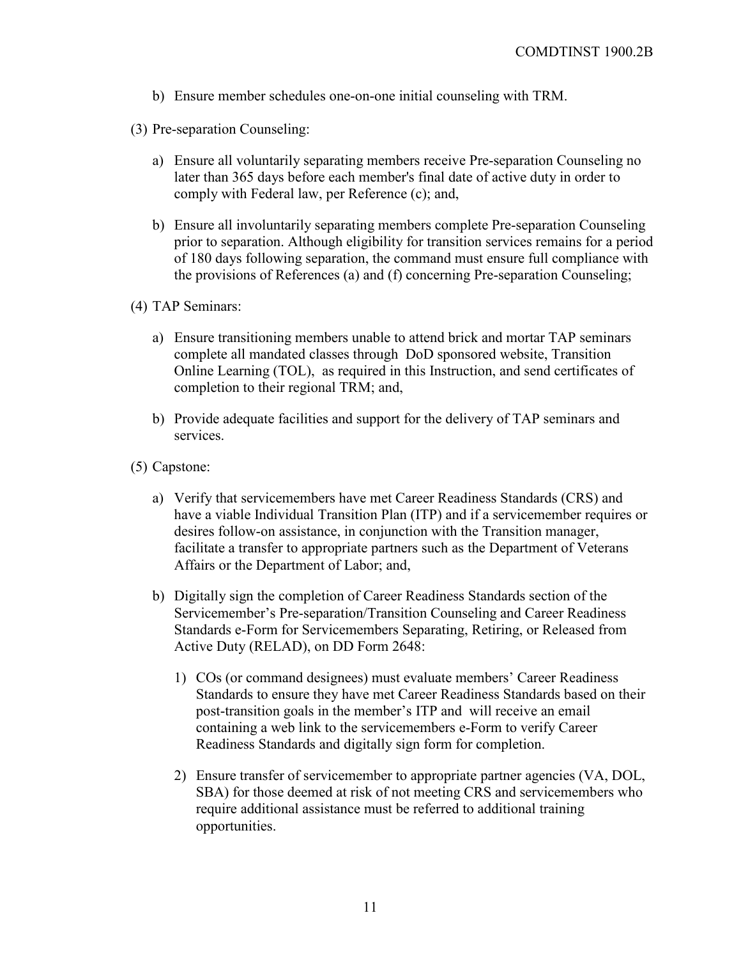- b) Ensure member schedules one-on-one initial counseling with TRM.
- (3) Pre-separation Counseling:
	- a) Ensure all voluntarily separating members receive Pre-separation Counseling no later than 365 days before each member's final date of active duty in order to comply with Federal law, per Reference (c); and,
	- b) Ensure all involuntarily separating members complete Pre-separation Counseling prior to separation. Although eligibility for transition services remains for a period of 180 days following separation, the command must ensure full compliance with the provisions of References (a) and (f) concerning Pre-separation Counseling;
- (4) TAP Seminars:
	- a) Ensure transitioning members unable to attend brick and mortar TAP seminars complete all mandated classes through DoD sponsored website, Transition Online Learning (TOL), as required in this Instruction, and send certificates of completion to their regional TRM; and,
	- b) Provide adequate facilities and support for the delivery of TAP seminars and services.
- (5) Capstone:
	- a) Verify that servicemembers have met [Career Readiness Standards \(CRS\)](https://www.dodtap.mil/career_readiness_standards.html) and have a viable Individual Transition Plan (ITP) and if a servicemember requires or desires follow-on assistance, in conjunction with the Transition manager, facilitate a transfer to appropriate partners such as the Department of Veterans Affairs or the Department of Labor; and,
	- b) Digitally sign the completion of Career Readiness Standards section of the Servicemember's Pre-separation/Transition Counseling and Career Readiness Standards e-Form for Servicemembers Separating, Retiring, or Released from Active Duty (RELAD), on DD Form 2648:
		- 1) COs (or command designees) must evaluate members' Career Readiness Standards to ensure they have met Career Readiness Standards based on their post-transition goals in the member's ITP and will receive an email containing a web link to the servicemembers e-Form to verify Career Readiness Standards and digitally sign form for completion.
		- 2) Ensure transfer of servicemember to appropriate partner agencies (VA, DOL, SBA) for those deemed at risk of not meeting CRS and servicemembers who require additional assistance must be referred to additional training opportunities.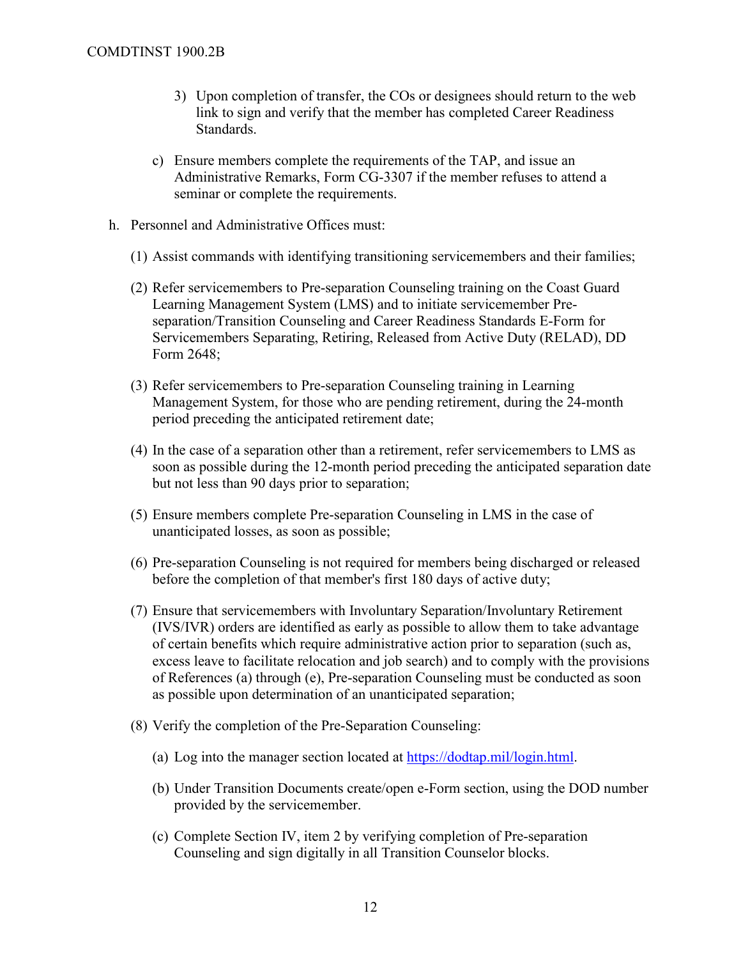- 3) Upon completion of transfer, the COs or designees should return to the web link to sign and verify that the member has completed Career Readiness Standards.
- c) Ensure members complete the requirements of the TAP, and issue an Administrative Remarks, Form CG-3307 if the member refuses to attend a seminar or complete the requirements.
- h. Personnel and Administrative Offices must:
	- (1) Assist commands with identifying transitioning servicemembers and their families;
	- (2) Refer servicemembers to Pre-separation Counseling training on the Coast Guard Learning Management System (LMS) and to initiate servicemember Preseparation/Transition Counseling and Career Readiness Standards E-Form for Servicemembers Separating, Retiring, Released from Active Duty (RELAD), DD Form 2648;
	- (3) Refer servicemembers to Pre-separation Counseling training in Learning Management System, for those who are pending retirement, during the 24-month period preceding the anticipated retirement date;
	- (4) In the case of a separation other than a retirement, refer servicemembers to LMS as soon as possible during the 12-month period preceding the anticipated separation date but not less than 90 days prior to separation;
	- (5) Ensure members complete Pre-separation Counseling in LMS in the case of unanticipated losses, as soon as possible;
	- (6) Pre-separation Counseling is not required for members being discharged or released before the completion of that member's first 180 days of active duty;
	- (7) Ensure that servicemembers with Involuntary Separation/Involuntary Retirement (IVS/IVR) orders are identified as early as possible to allow them to take advantage of certain benefits which require administrative action prior to separation (such as, excess leave to facilitate relocation and job search) and to comply with the provisions of References (a) through (e), Pre-separation Counseling must be conducted as soon as possible upon determination of an unanticipated separation;
	- (8) Verify the completion of the Pre-Separation Counseling:
		- (a) Log into the manager section located at [https://dodtap.mil/login.html.](https://dodtap.mil/login.html)
		- (b) Under Transition Documents create/open e-Form section, using the DOD number provided by the servicemember.
		- (c) Complete Section IV, item 2 by verifying completion of Pre-separation Counseling and sign digitally in all Transition Counselor blocks.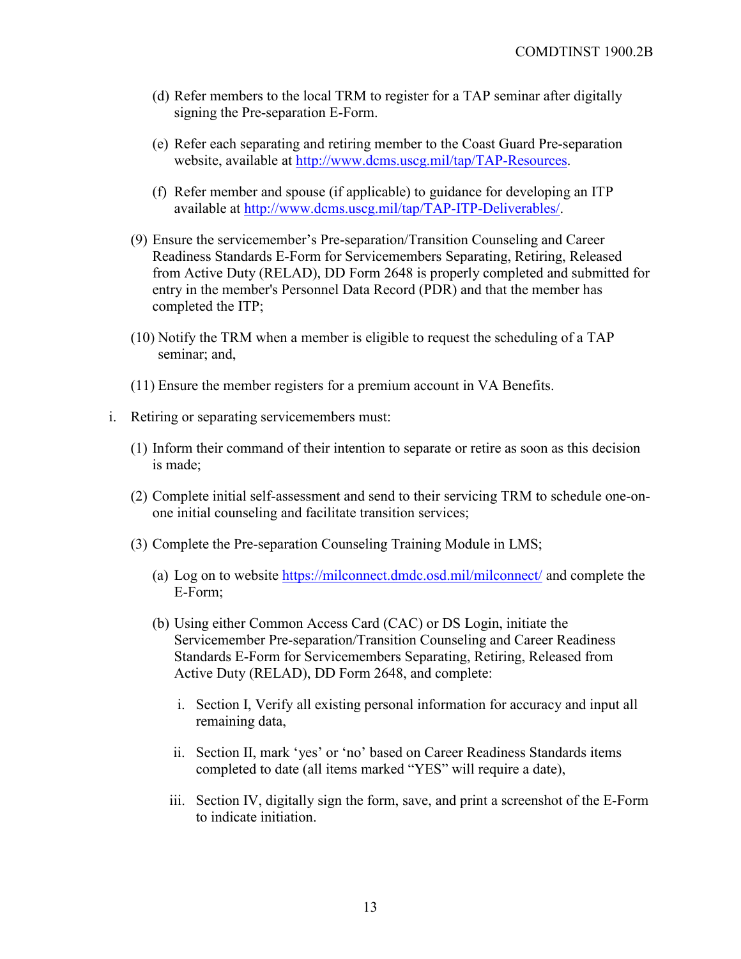- (d) Refer members to the local TRM to register for a TAP seminar after digitally signing the Pre-separation E-Form.
- (e) Refer each separating and retiring member to the Coast Guard Pre-separation website, available at [http://www.dcms.uscg.mil/tap/TAP-Resources.](http://www.dcms.uscg.mil/tap/TAP-Resources)
- (f) Refer member and spouse (if applicable) to guidance for developing an ITP available at [http://www.dcms.uscg.mil/tap/TAP-ITP-Deliverables/.](http://www.dcms.uscg.mil/Our-Organization/Assistant-Commandant-for-Human-Resources-CG-1/Health-Safety-and-Work-Life-CG-11/Office-of-Work-Life-CG-111/Transition-Assistance-Program/TAP-ITP-Deliverables/)
- (9) Ensure the servicemember's Pre-separation/Transition Counseling and Career Readiness Standards E-Form for Servicemembers Separating, Retiring, Released from Active Duty (RELAD), DD Form 2648 is properly completed and submitted for entry in the member's Personnel Data Record (PDR) and that the member has completed the ITP;
- (10) Notify the TRM when a member is eligible to request the scheduling of a TAP seminar; and,
- (11) Ensure the member registers for a premium account in VA Benefits.
- i. Retiring or separating servicemembers must:
	- (1) Inform their command of their intention to separate or retire as soon as this decision is made;
	- (2) Complete initial self-assessment and send to their servicing TRM to schedule one-onone initial counseling and facilitate transition services;
	- (3) Complete the Pre-separation Counseling Training Module in LMS;
		- (a) Log on to website <https://milconnect.dmdc.osd.mil/milconnect/> and complete the E-Form;
		- (b) Using either Common Access Card (CAC) or DS Login, initiate the Servicemember Pre-separation/Transition Counseling and Career Readiness Standards E-Form for Servicemembers Separating, Retiring, Released from Active Duty (RELAD), DD Form 2648, and complete:
			- i. Section I, Verify all existing personal information for accuracy and input all remaining data,
			- ii. Section II, mark 'yes' or 'no' based on Career Readiness Standards items completed to date (all items marked "YES" will require a date),
			- iii. Section IV, digitally sign the form, save, and print a screenshot of the E-Form to indicate initiation.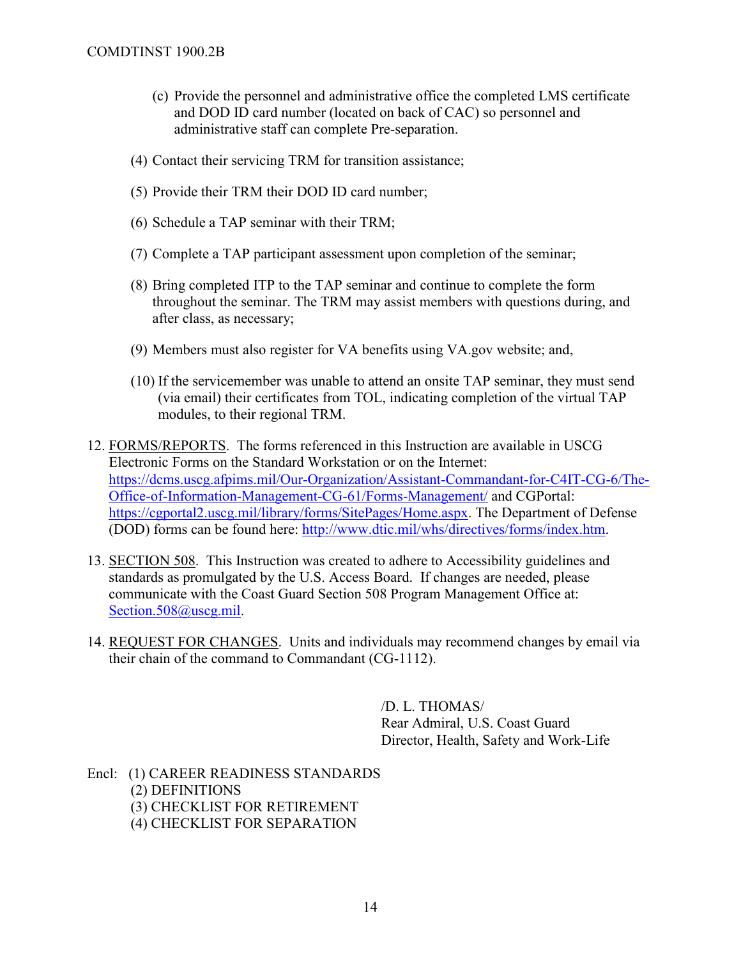- (c) Provide the personnel and administrative office the completed LMS certificate and DOD ID card number (located on back of CAC) so personnel and administrative staff can complete Pre-separation.
- (4) Contact their servicing TRM for transition assistance;
- (5) Provide their TRM their DOD ID card number;
- (6) Schedule a TAP seminar with their TRM;
- (7) Complete a TAP participant assessment upon completion of the seminar;
- (8) Bring completed ITP to the TAP seminar and continue to complete the form throughout the seminar. The TRM may assist members with questions during, and after class, as necessary;
- (9) Members must also register for VA benefits using VA.gov website; and,
- (10) If the servicemember was unable to attend an onsite TAP seminar, they must send (via email) their certificates from TOL, indicating completion of the virtual TAP modules, to their regional TRM.
- 12. FORMS/REPORTS. The forms referenced in this Instruction are available in USCG Electronic Forms on the Standard Workstation or on the Internet: [https://dcms.uscg.afpims.mil/Our-Organization/Assistant-Commandant-for-C4IT-CG-6/The-](https://dcms.uscg.afpims.mil/Our-Organization/Assistant-Commandant-for-C4IT-CG-6/The-Office-of-Information-Management-CG-61/Forms-Management/)[Office-of-Information-Management-CG-61/Forms-Management/](https://dcms.uscg.afpims.mil/Our-Organization/Assistant-Commandant-for-C4IT-CG-6/The-Office-of-Information-Management-CG-61/Forms-Management/) and CGPortal: [https://cgportal2.uscg.mil/library/forms/SitePages/Home.aspx.](https://cgportal2.uscg.mil/library/forms/SitePages/Home.aspx) The Department of Defense (DOD) forms can be found here: [http://www.dtic.mil/whs/directives/forms/index.htm.](http://www.dtic.mil/whs/directives/forms/index.htm)
- 13. SECTION 508. This Instruction was created to adhere to Accessibility guidelines and standards as promulgated by the U.S. Access Board. If changes are needed, please communicate with the Coast Guard Section 508 Program Management Office at: [Section.508@uscg.mil.](mailto:Section.508@uscg.mil)
- 14. REQUEST FOR CHANGES. Units and individuals may recommend changes by email via their chain of the command to Commandant (CG-1112).

/D. L. THOMAS/ Rear Admiral, U.S. Coast Guard Director, Health, Safety and Work-Life

Encl: (1) CAREER READINESS STANDARDS (2) DEFINITIONS (3) CHECKLIST FOR RETIREMENT (4) CHECKLIST FOR SEPARATION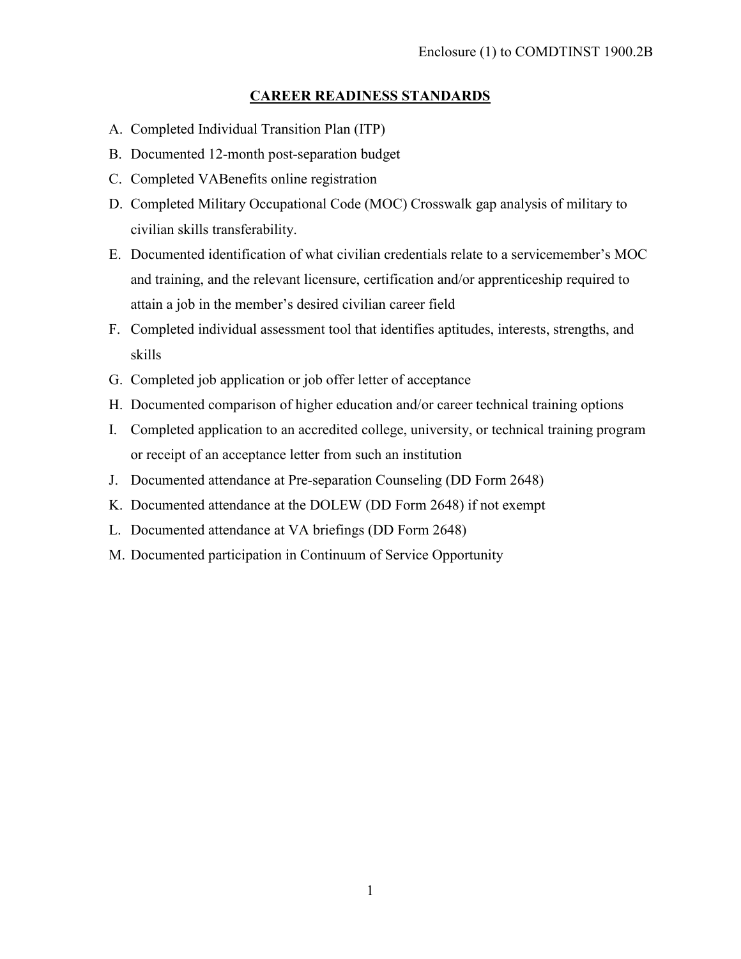## **CAREER READINESS STANDARDS**

- A. Completed Individual Transition Plan (ITP)
- B. Documented 12-month post-separation budget
- C. Completed VABenefits online registration
- D. Completed Military Occupational Code (MOC) Crosswalk gap analysis of military to civilian skills transferability.
- E. Documented identification of what civilian credentials relate to a servicemember's MOC and training, and the relevant licensure, certification and/or apprenticeship required to attain a job in the member's desired civilian career field
- F. Completed individual assessment tool that identifies aptitudes, interests, strengths, and skills
- G. Completed job application or job offer letter of acceptance
- H. Documented comparison of higher education and/or career technical training options
- I. Completed application to an accredited college, university, or technical training program or receipt of an acceptance letter from such an institution
- J. Documented attendance at Pre-separation Counseling (DD Form 2648)
- K. Documented attendance at the DOLEW (DD Form 2648) if not exempt
- L. Documented attendance at VA briefings (DD Form 2648)
- M. Documented participation in Continuum of Service Opportunity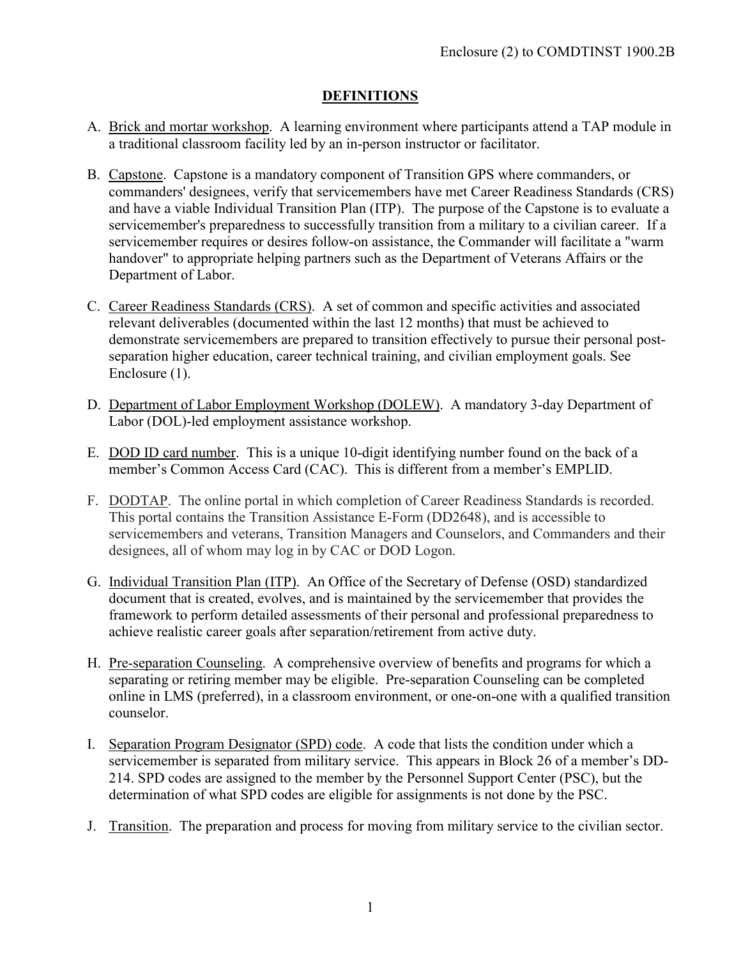## **DEFINITIONS**

- A. Brick and mortar workshop. A learning environment where participants attend a TAP module in a traditional classroom facility led by an in-person instructor or facilitator.
- B. Capstone. Capstone is a mandatory component of Transition GPS where commanders, or commanders' designees, verify that servicemembers have met [Career Readiness Standards \(CRS\)](https://www.dodtap.mil/career_readiness_standards.html) and have a viable Individual Transition Plan (ITP). The purpose of the Capstone is to evaluate a servicemember's preparedness to successfully transition from a military to a civilian career. If a servicemember requires or desires follow-on assistance, the Commander will facilitate a "warm handover" to appropriate helping partners such as the Department of Veterans Affairs or the Department of Labor.
- C. Career Readiness Standards (CRS). A set of common and specific activities and associated relevant deliverables (documented within the last 12 months) that must be achieved to demonstrate servicemembers are prepared to transition effectively to pursue their personal postseparation higher education, career technical training, and civilian employment goals. See Enclosure (1).
- D. Department of Labor Employment Workshop (DOLEW). A mandatory 3-day Department of Labor (DOL)-led employment assistance workshop.
- E. DOD ID card number. This is a unique 10-digit identifying number found on the back of a member's Common Access Card (CAC). This is different from a member's EMPLID.
- F. DODTAP. The online portal in which completion of Career Readiness Standards is recorded. This portal contains the Transition Assistance E-Form (DD2648), and is accessible to servicemembers and veterans, Transition Managers and Counselors, and Commanders and their designees, all of whom may log in by CAC or DOD Logon.
- G. Individual Transition Plan (ITP). An Office of the Secretary of Defense (OSD) standardized document that is created, evolves, and is maintained by the servicemember that provides the framework to perform detailed assessments of their personal and professional preparedness to achieve realistic career goals after separation/retirement from active duty.
- H. Pre-separation Counseling. A comprehensive overview of benefits and programs for which a separating or retiring member may be eligible. Pre-separation Counseling can be completed online in LMS (preferred), in a classroom environment, or one-on-one with a qualified transition counselor.
- I. Separation Program Designator (SPD) code. A code that lists the condition under which a servicemember is separated from military service. This appears in Block 26 of a member's DD-214. SPD codes are assigned to the member by the Personnel Support Center (PSC), but the determination of what SPD codes are eligible for assignments is not done by the PSC.
- J. Transition. The preparation and process for moving from military service to the civilian sector.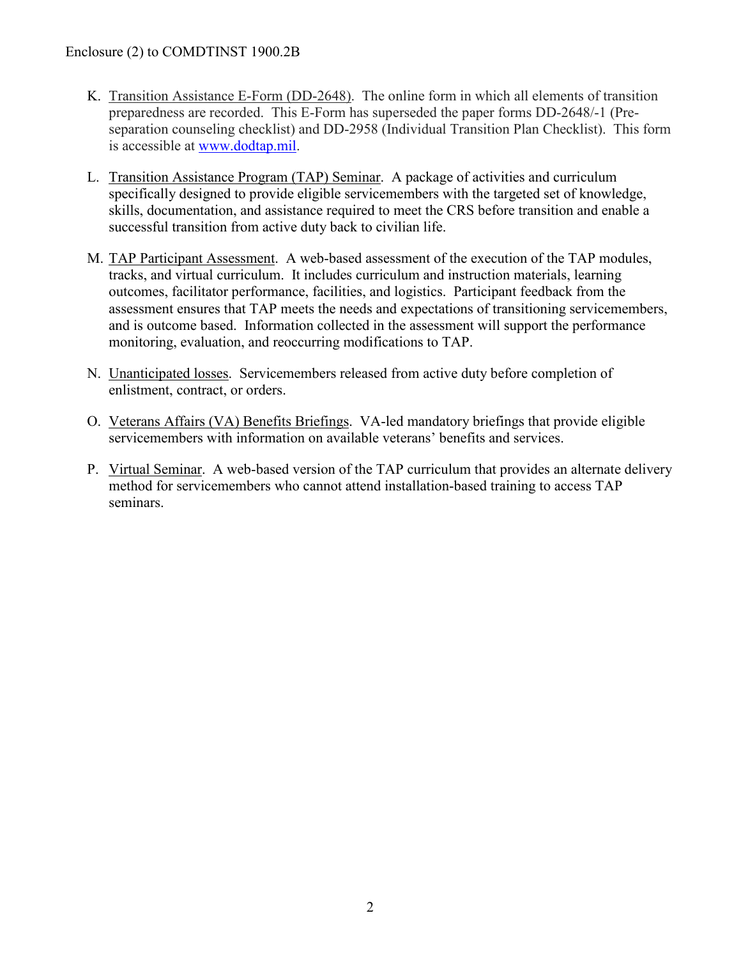## Enclosure (2) to COMDTINST 1900.2B

- K. Transition Assistance E-Form (DD-2648). The online form in which all elements of transition preparedness are recorded. This E-Form has superseded the paper forms DD-2648/-1 (Preseparation counseling checklist) and DD-2958 (Individual Transition Plan Checklist). This form is accessible at [www.dodtap.mil.](http://www.dodtap.mil/)
- L. Transition Assistance Program (TAP) Seminar. A package of activities and curriculum specifically designed to provide eligible servicemembers with the targeted set of knowledge, skills, documentation, and assistance required to meet the CRS before transition and enable a successful transition from active duty back to civilian life.
- M. TAP Participant Assessment. A web-based assessment of the execution of the TAP modules, tracks, and virtual curriculum. It includes curriculum and instruction materials, learning outcomes, facilitator performance, facilities, and logistics. Participant feedback from the assessment ensures that TAP meets the needs and expectations of transitioning servicemembers, and is outcome based. Information collected in the assessment will support the performance monitoring, evaluation, and reoccurring modifications to TAP.
- N. Unanticipated losses. Servicemembers released from active duty before completion of enlistment, contract, or orders.
- O. Veterans Affairs (VA) Benefits Briefings. VA-led mandatory briefings that provide eligible servicemembers with information on available veterans' benefits and services.
- P. Virtual Seminar. A web-based version of the TAP curriculum that provides an alternate delivery method for servicemembers who cannot attend installation-based training to access TAP seminars.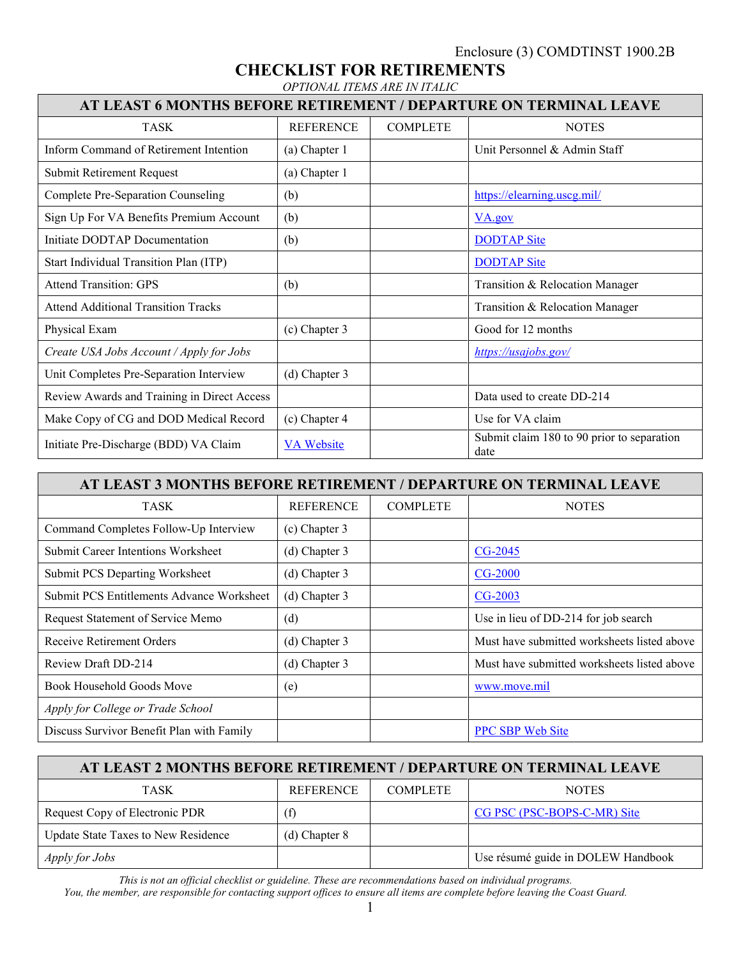Enclosure (3) COMDTINST 1900.2B

**CHECKLIST FOR RETIREMENTS**

|                                                                   | OPTIONAL ITEMS ARE IN ITALIC |                 |                                 |  |  |  |  |  |
|-------------------------------------------------------------------|------------------------------|-----------------|---------------------------------|--|--|--|--|--|
| AT LEAST 6 MONTHS BEFORE RETIREMENT / DEPARTURE ON TERMINAL LEAVE |                              |                 |                                 |  |  |  |  |  |
| <b>TASK</b>                                                       | <b>REFERENCE</b>             | <b>COMPLETE</b> | <b>NOTES</b>                    |  |  |  |  |  |
| Inform Command of Retirement Intention                            | (a) Chapter 1                |                 | Unit Personnel & Admin Staff    |  |  |  |  |  |
| Submit Retirement Request                                         | (a) Chapter 1                |                 |                                 |  |  |  |  |  |
| Complete Pre-Separation Counseling                                | (b)                          |                 | https://elearning.uscg.mil/     |  |  |  |  |  |
| Sign Up For VA Benefits Premium Account                           | (b)                          |                 | VA.gov                          |  |  |  |  |  |
| Initiate DODTAP Documentation                                     | (b)                          |                 | <b>DODTAP Site</b>              |  |  |  |  |  |
| Start Individual Transition Plan (ITP)                            |                              |                 | <b>DODTAP Site</b>              |  |  |  |  |  |
| <b>Attend Transition: GPS</b>                                     | (b)                          |                 | Transition & Relocation Manager |  |  |  |  |  |
| <b>Attend Additional Transition Tracks</b>                        |                              |                 | Transition & Relocation Manager |  |  |  |  |  |
| Physical Exam                                                     | (c) Chapter 3                |                 | Good for 12 months              |  |  |  |  |  |
| Create USA Jobs Account / Apply for Jobs                          |                              |                 | https://usajobs.gov/            |  |  |  |  |  |
| Unit Completes Pre-Separation Interview                           | (d) Chapter 3                |                 |                                 |  |  |  |  |  |
| Review Awards and Training in Direct Access                       |                              |                 | Data used to create DD-214      |  |  |  |  |  |
| Make Copy of CG and DOD Medical Record                            | (c) Chapter 4                |                 | Use for VA claim                |  |  |  |  |  |

| AT LEAST 3 MONTHS BEFORE RETIREMENT / DEPARTURE ON TERMINAL LEAVE |                  |                 |                                             |  |  |  |  |  |
|-------------------------------------------------------------------|------------------|-----------------|---------------------------------------------|--|--|--|--|--|
| <b>TASK</b>                                                       | <b>REFERENCE</b> | <b>COMPLETE</b> | <b>NOTES</b>                                |  |  |  |  |  |
| Command Completes Follow-Up Interview                             | (c) Chapter 3    |                 |                                             |  |  |  |  |  |
| Submit Career Intentions Worksheet                                | (d) Chapter 3    |                 | CG-2045                                     |  |  |  |  |  |
| Submit PCS Departing Worksheet                                    | (d) Chapter 3    |                 | $CG-2000$                                   |  |  |  |  |  |
| <b>Submit PCS Entitlements Advance Worksheet</b>                  | (d) Chapter 3    |                 | $CG-2003$                                   |  |  |  |  |  |
| Request Statement of Service Memo                                 | (d)              |                 | Use in lieu of DD-214 for job search        |  |  |  |  |  |
| Receive Retirement Orders                                         | (d) Chapter 3    |                 | Must have submitted worksheets listed above |  |  |  |  |  |
| Review Draft DD-214                                               | (d) Chapter 3    |                 | Must have submitted worksheets listed above |  |  |  |  |  |
| Book Household Goods Move                                         | (e)              |                 | www.move.mil                                |  |  |  |  |  |
| Apply for College or Trade School                                 |                  |                 |                                             |  |  |  |  |  |
| Discuss Survivor Benefit Plan with Family                         |                  |                 | <b>PPC SBP Web Site</b>                     |  |  |  |  |  |

Initiate Pre-Discharge (BDD) VA Claim [VA Website](https://www.benefits.va.gov/PREDISCHARGE/index.asp) Submit claim 180 to 90 prior to separation

date

| AT LEAST 2 MONTHS BEFORE RETIREMENT / DEPARTURE ON TERMINAL LEAVE |                   |                 |                                    |  |  |  |  |  |
|-------------------------------------------------------------------|-------------------|-----------------|------------------------------------|--|--|--|--|--|
| TASK.                                                             | <b>REFERENCE</b>  | <b>COMPLETE</b> | <b>NOTES</b>                       |  |  |  |  |  |
| Request Copy of Electronic PDR                                    | (f)               |                 | CG PSC (PSC-BOPS-C-MR) Site        |  |  |  |  |  |
| Update State Taxes to New Residence                               | $(d)$ Chapter $8$ |                 |                                    |  |  |  |  |  |
| <i>Apply for Jobs</i>                                             |                   |                 | Use résumé guide in DOLEW Handbook |  |  |  |  |  |

*This is not an official checklist or guideline. These are recommendations based on individual programs. You, the member, are responsible for contacting support offices to ensure all items are complete before leaving the Coast Guard.*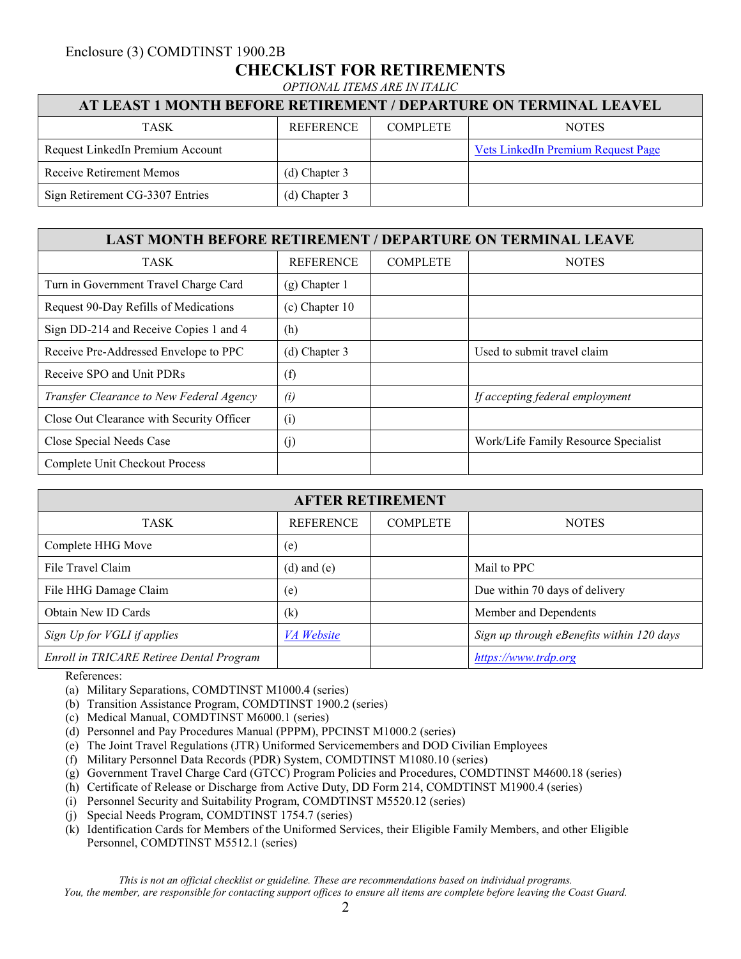## Enclosure (3) COMDTINST 1900.2B **CHECKLIST FOR RETIREMENTS** *OPTIONAL ITEMS ARE IN ITALIC*

### **AT LEAST 1 MONTH BEFORE RETIREMENT / DEPARTURE ON TERMINAL LEAVEL**

| <b>TASK</b>                      | <b>REFERENCE</b> | <b>COMPLETE</b> | <b>NOTES</b>                       |
|----------------------------------|------------------|-----------------|------------------------------------|
| Request LinkedIn Premium Account |                  |                 | Vets LinkedIn Premium Request Page |
| Receive Retirement Memos         | $(d)$ Chapter 3  |                 |                                    |
| Sign Retirement CG-3307 Entries  | (d) Chapter 3    |                 |                                    |

#### **LAST MONTH BEFORE RETIREMENT / DEPARTURE ON TERMINAL LEAVE**

| TASK                                      | <b>REFERENCE</b> | <b>COMPLETE</b> | <b>NOTES</b>                         |
|-------------------------------------------|------------------|-----------------|--------------------------------------|
| Turn in Government Travel Charge Card     | $(g)$ Chapter 1  |                 |                                      |
| Request 90-Day Refills of Medications     | $(c)$ Chapter 10 |                 |                                      |
| Sign DD-214 and Receive Copies 1 and 4    | (h)              |                 |                                      |
| Receive Pre-Addressed Envelope to PPC     | (d) Chapter 3    |                 | Used to submit travel claim          |
| Receive SPO and Unit PDRs                 | (f)              |                 |                                      |
| Transfer Clearance to New Federal Agency  | (i)              |                 | If accepting federal employment      |
| Close Out Clearance with Security Officer | (i)              |                 |                                      |
| Close Special Needs Case                  | (j)              |                 | Work/Life Family Resource Specialist |
| Complete Unit Checkout Process            |                  |                 |                                      |

| <b>AFTER RETIREMENT</b>                  |                   |                 |                                           |  |  |  |  |  |
|------------------------------------------|-------------------|-----------------|-------------------------------------------|--|--|--|--|--|
| TASK                                     | <b>REFERENCE</b>  | <b>COMPLETE</b> | <b>NOTES</b>                              |  |  |  |  |  |
| Complete HHG Move                        | (e)               |                 |                                           |  |  |  |  |  |
| File Travel Claim                        | $(d)$ and $(e)$   |                 | Mail to PPC                               |  |  |  |  |  |
| File HHG Damage Claim                    | (e)               |                 | Due within 70 days of delivery            |  |  |  |  |  |
| Obtain New ID Cards                      | $\left( k\right)$ |                 | Member and Dependents                     |  |  |  |  |  |
| Sign Up for VGLI if applies              | VA Website        |                 | Sign up through eBenefits within 120 days |  |  |  |  |  |
| Enroll in TRICARE Retiree Dental Program |                   |                 | https://www.trdp.org                      |  |  |  |  |  |

References:

- (a) Military Separations, COMDTINST M1000.4 (series)
- (b) Transition Assistance Program, COMDTINST 1900.2 (series)
- (c) Medical Manual, COMDTINST M6000.1 (series)
- (d) Personnel and Pay Procedures Manual (PPPM), PPCINST M1000.2 (series)
- (e) The Joint Travel Regulations (JTR) Uniformed Servicemembers and DOD Civilian Employees
- (f) Military Personnel Data Records (PDR) System, COMDTINST M1080.10 (series)
- (g) Government Travel Charge Card (GTCC) Program Policies and Procedures, COMDTINST M4600.18 (series)
- (h) Certificate of Release or Discharge from Active Duty, DD Form 214, COMDTINST M1900.4 (series)
- (i) Personnel Security and Suitability Program, COMDTINST M5520.12 (series)
- (j) Special Needs Program, COMDTINST 1754.7 (series)
- (k) Identification Cards for Members of the Uniformed Services, their Eligible Family Members, and other Eligible Personnel, COMDTINST M5512.1 (series)

*This is not an official checklist or guideline. These are recommendations based on individual programs. You, the member, are responsible for contacting support offices to ensure all items are complete before leaving the Coast Guard.*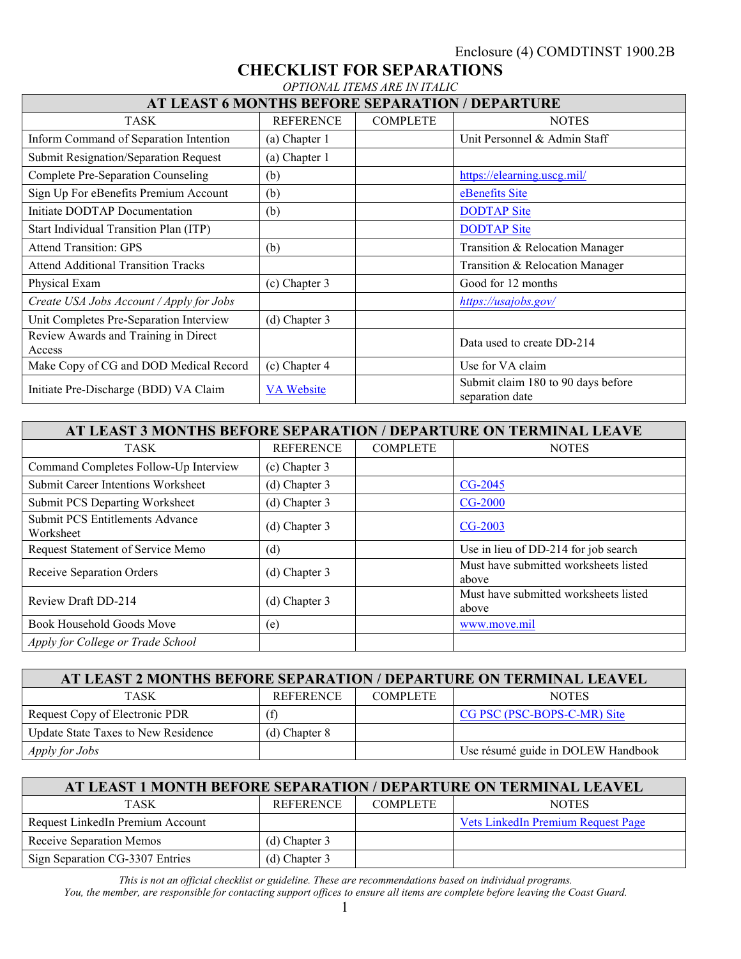#### **CHECKLIST FOR SEPARATIONS** *OPTIONAL ITEMS ARE IN ITALIC*

| AT LEAST 6 MONTHS BEFORE SEPARATION / DEPARTURE |                   |                 |                                                       |  |  |  |  |  |
|-------------------------------------------------|-------------------|-----------------|-------------------------------------------------------|--|--|--|--|--|
| <b>TASK</b>                                     | <b>REFERENCE</b>  | <b>COMPLETE</b> | <b>NOTES</b>                                          |  |  |  |  |  |
| Inform Command of Separation Intention          | (a) Chapter 1     |                 | Unit Personnel & Admin Staff                          |  |  |  |  |  |
| <b>Submit Resignation/Separation Request</b>    | (a) Chapter 1     |                 |                                                       |  |  |  |  |  |
| Complete Pre-Separation Counseling              | (b)               |                 | https://elearning.uscg.mil/                           |  |  |  |  |  |
| Sign Up For eBenefits Premium Account           | (b)               |                 | eBenefits Site                                        |  |  |  |  |  |
| Initiate DODTAP Documentation                   | (b)               |                 | <b>DODTAP</b> Site                                    |  |  |  |  |  |
| Start Individual Transition Plan (ITP)          |                   |                 | <b>DODTAP Site</b>                                    |  |  |  |  |  |
| <b>Attend Transition: GPS</b>                   | (b)               |                 | Transition & Relocation Manager                       |  |  |  |  |  |
| <b>Attend Additional Transition Tracks</b>      |                   |                 | Transition & Relocation Manager                       |  |  |  |  |  |
| Physical Exam                                   | $(c)$ Chapter 3   |                 | Good for 12 months                                    |  |  |  |  |  |
| Create USA Jobs Account / Apply for Jobs        |                   |                 | https://usajobs.gov/                                  |  |  |  |  |  |
| Unit Completes Pre-Separation Interview         | (d) Chapter 3     |                 |                                                       |  |  |  |  |  |
| Review Awards and Training in Direct<br>Access  |                   |                 | Data used to create DD-214                            |  |  |  |  |  |
| Make Copy of CG and DOD Medical Record          | (c) Chapter 4     |                 | Use for VA claim                                      |  |  |  |  |  |
| Initiate Pre-Discharge (BDD) VA Claim           | <b>VA Website</b> |                 | Submit claim 180 to 90 days before<br>separation date |  |  |  |  |  |

| AT LEAST 3 MONTHS BEFORE SEPARATION / DEPARTURE ON TERMINAL LEAVE |                  |                 |                                                |  |  |  |  |  |
|-------------------------------------------------------------------|------------------|-----------------|------------------------------------------------|--|--|--|--|--|
| <b>TASK</b>                                                       | <b>REFERENCE</b> | <b>COMPLETE</b> | <b>NOTES</b>                                   |  |  |  |  |  |
| Command Completes Follow-Up Interview                             | (c) Chapter 3    |                 |                                                |  |  |  |  |  |
| Submit Career Intentions Worksheet                                | (d) Chapter 3    |                 | CG-2045                                        |  |  |  |  |  |
| <b>Submit PCS Departing Worksheet</b>                             | (d) Chapter 3    |                 | $CG-2000$                                      |  |  |  |  |  |
| <b>Submit PCS Entitlements Advance</b><br>Worksheet               | (d) Chapter 3    |                 | <b>CG-2003</b>                                 |  |  |  |  |  |
| Request Statement of Service Memo                                 | (d)              |                 | Use in lieu of DD-214 for job search           |  |  |  |  |  |
| Receive Separation Orders                                         | (d) Chapter 3    |                 | Must have submitted worksheets listed<br>above |  |  |  |  |  |
| Review Draft DD-214                                               | (d) Chapter 3    |                 | Must have submitted worksheets listed<br>above |  |  |  |  |  |
| Book Household Goods Move                                         | (e)              |                 | www.move.mil                                   |  |  |  |  |  |
| Apply for College or Trade School                                 |                  |                 |                                                |  |  |  |  |  |

| AT LEAST 2 MONTHS BEFORE SEPARATION / DEPARTURE ON TERMINAL LEAVEL |                   |                 |                                    |  |  |  |  |  |
|--------------------------------------------------------------------|-------------------|-----------------|------------------------------------|--|--|--|--|--|
| TASK                                                               | <b>REFERENCE</b>  | <b>COMPLETE</b> | <b>NOTES</b>                       |  |  |  |  |  |
| Request Copy of Electronic PDR                                     | $\rm (f)$         |                 | CG PSC (PSC-BOPS-C-MR) Site        |  |  |  |  |  |
| Update State Taxes to New Residence                                | $(d)$ Chapter $8$ |                 |                                    |  |  |  |  |  |
| <i>Apply for Jobs</i>                                              |                   |                 | Use résumé guide in DOLEW Handbook |  |  |  |  |  |

| AT LEAST 1 MONTH BEFORE SEPARATION / DEPARTURE ON TERMINAL LEAVEL |                  |                 |                                    |  |  |  |  |  |
|-------------------------------------------------------------------|------------------|-----------------|------------------------------------|--|--|--|--|--|
| <b>TASK</b>                                                       | <b>REFERENCE</b> | <b>COMPLETE</b> | <b>NOTES</b>                       |  |  |  |  |  |
| Request LinkedIn Premium Account                                  |                  |                 | Vets LinkedIn Premium Request Page |  |  |  |  |  |
| Receive Separation Memos                                          | $(d)$ Chapter 3  |                 |                                    |  |  |  |  |  |
| Sign Separation CG-3307 Entries                                   | $(d)$ Chapter 3  |                 |                                    |  |  |  |  |  |

*This is not an official checklist or guideline. These are recommendations based on individual programs. You, the member, are responsible for contacting support offices to ensure all items are complete before leaving the Coast Guard.*